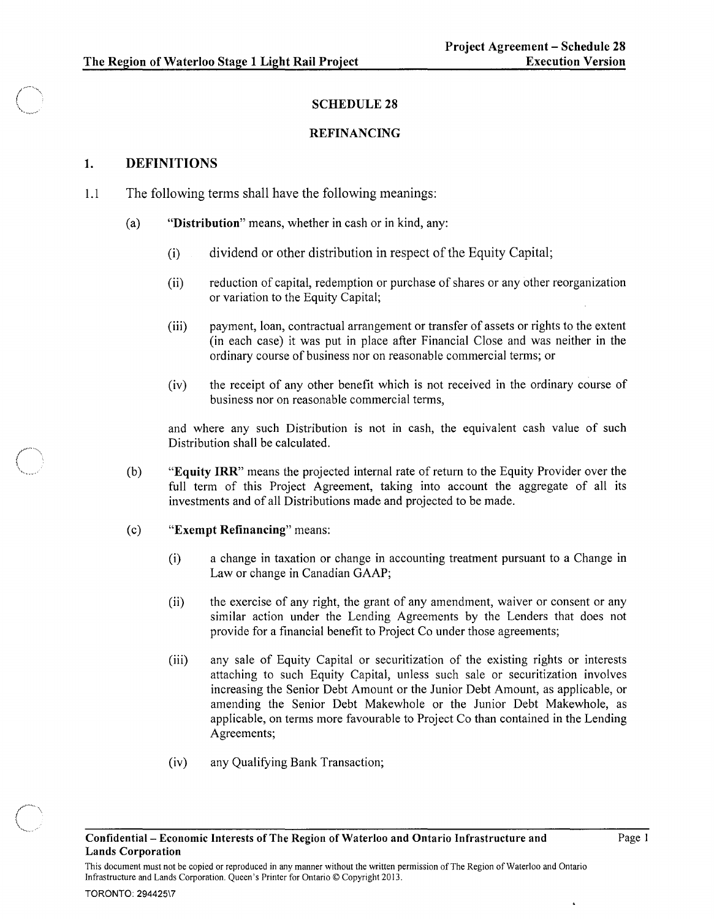# SCHEDULE 28

### REFINANCING

# 1. DEFINITIONS

- 1.1 The following terms shall have the following meanings:
	- (a) "Distribution" means, whether in cash or in kind, any:
		- (i) dividend or other distribution in respect of the Equity Capital;
		- (ii) reduction of capital, redemption or purchase of shares or any other reorganization or variation to the Equity Capital;
		- (iii) payment, loan, contractual arrangement or transfer of assets or rights to the extent (in each case) it was put in place after Financial Close and was neither in the ordinary course of business nor on reasonable commercial terms; or
		- (iv) the receipt of any other benefit which is not received in the ordinary course of business nor on reasonable commercial terms,

and where any such Distribution is not in cash, the equivalent cash value of such Distribution shall be calculated.

(b) "Equity IRR" means the projected internal rate of return to the Equity Provider over the full term of this Project Agreement, taking into account the aggregate of all its investments and of all Distributions made and projected to be made.

### (c) "Exempt Refinancing" means:

- (i) a change in taxation or change in accounting treatment pursuant to a Change in Law or change in Canadian GAAP;
- (ii) the exercise of any right, the grant of any amendment, waiver or consent or any similar action under the Lending Agreements by the Lenders that does not provide for a financial benefit to Project Co under those agreements;
- (iii) any sale of Equity Capital or securitization of the existing rights or interests attaching to such Equity Capital, unless such sale or securitization involves increasing the Senior Debt Amount or the Junior Debt Amount, as applicable, or amending the Senior Debt Makewhole or the Junior Debt Makewhole, as applicable, on terms more favourable to Project Co than contained in the Lending Agreements;
- (iv) any Qualifying Bank Transaction;

l.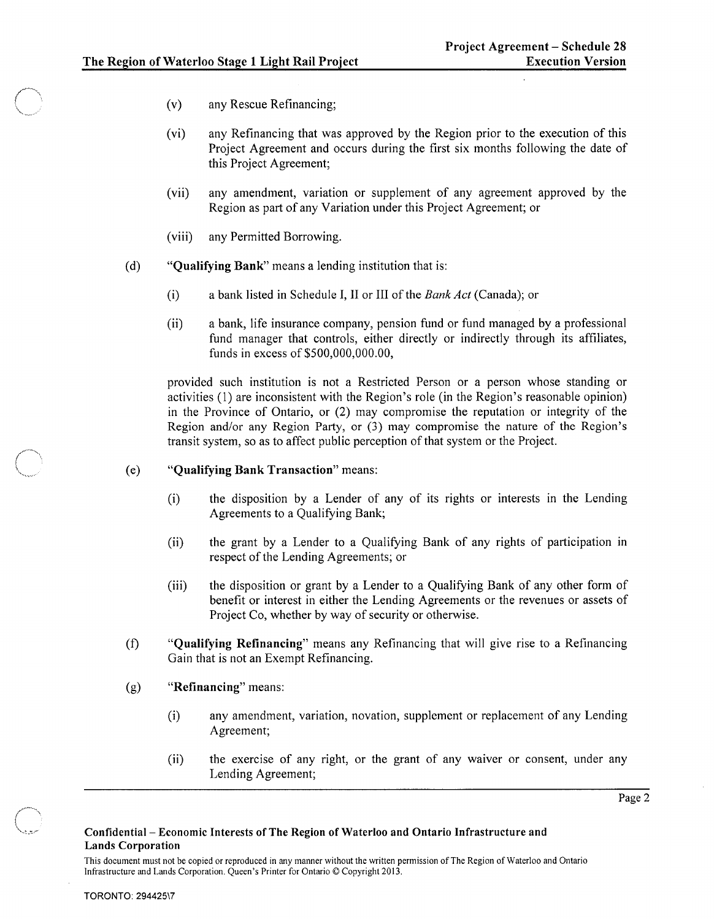- (v) any Rescue Refinancing;
- (vi) any Refinancing that was approved by the Region prior to the execution of this Project Agreement and occurs during the first six months following the date of this Project Agreement;
- (vii) any amendment, variation or supplement of any agreement approved by the Region as part of any Variation under this Project Agreement; or
- (viii) any Permitted Borrowing.
- (d) "Qualifying Bank" means a lending institution that is:
	- (i) a bank listed in Schedule I, II or III of the *Bank Act* (Canada); or
	- (ii) a bank, life insurance company, pension fund or fund managed by a professional fund manager that controls, either directly or indirectly through its affiliates, funds in excess of \$500,000,000.00,

provided such institution is not a Restricted Person or a person whose standing or activities (1) are inconsistent with the Region's role (in the Region's reasonable opinion) in the Province of Ontario, or (2) may compromise the reputation or integrity of the Region and/or any Region Party, or (3) may compromise the nature of the Region's transit system, so as to affect public perception of that system or the Project.

- (e) "Qualifying Bank Transaction" means:
	- (i) the disposition by a Lender of any of its rights or interests in the Lending Agreements to a Qualifying Bank;
	- (ii) the grant by a Lender to a Qualifying Bank of any rights of participation in respect of the Lending Agreements; or
	- (iii) the disposition or grant by a Lender to a Qualifying Bank of any other form of benefit or interest in either the Lending Agreements or the revenues or assets of Project Co, whether by way of security or otherwise.
- (f) "Qualifying Refinancing" means any Refinancing that will give rise to a Refinancing Gain that is not an Exempt Refinancing.
- (g) "Refinancing" means:
	- (i) any amendment, variation, novation, supplement or replacement of any Lending Agreement;
	- (ii) the exercise of any right, or the grant of any waiver or consent, under any Lending Agreement;

Page 2

This document must not be copied or reproduced in any manner without the written permission of The Region of Waterloo and Ontario Infrastructure and Lands Corporation. Queen's Printer for Ontario © Copyright 2013.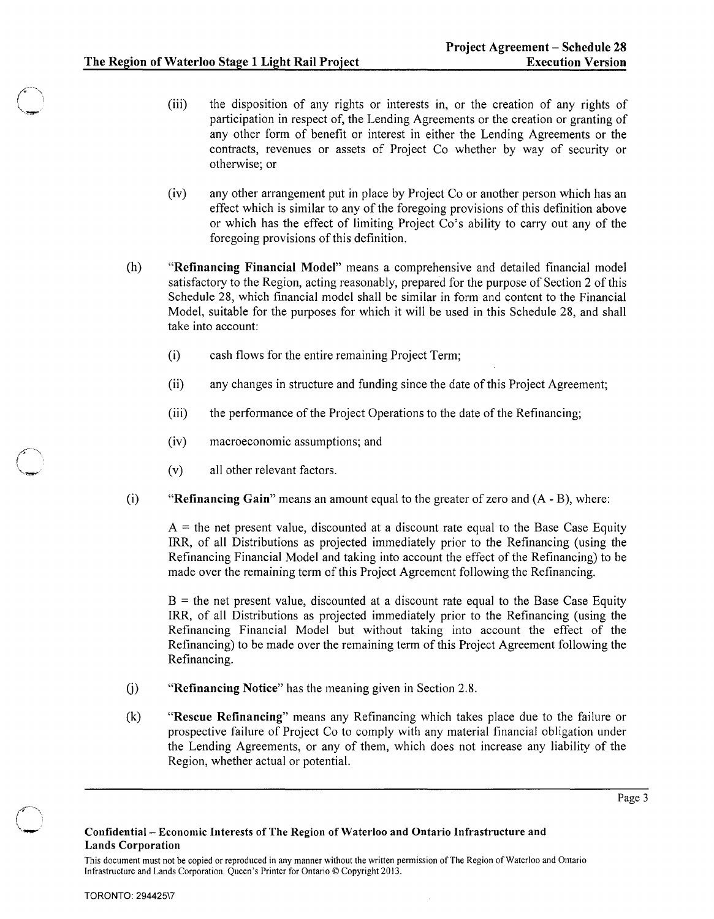- (iii) the disposition of any rights or interests in, or the creation of any rights of participation in respect of, the Lending Agreements or the creation or granting of any other form of benefit or interest in either the Lending Agreements or the contracts, revenues or assets of Project Co whether by way of security or otherwise; or
- (iv) any other arrangement put in place by Project Co or another person which has an effect which is similar to any of the foregoing provisions of this definition above or which has the effect of limiting Project Co's ability to carry out any of the foregoing provisions of this definition.
- (h) "Refinancing Financial Model" means a comprehensive and detailed financial model satisfactory to the Region, acting reasonably, prepared for the purpose of Section 2 of this Schedule 28, which financial model shall be similar in form and content to the Financial Model, suitable for the purposes for which it will be used in this Schedule 28, and shall take into account:
	- (i) cash flows for the entire remaining Project Term;
	- (ii) any changes in structure and funding since the date of this Project Agreement;
	- (iii) the performance of the Project Operations to the date of the Refinancing;
	- (iv) macroeconomic assumptions; and
	- (v) all other relevant factors.
- (i) "Refinancing Gain" means an amount equal to the greater of zero and  $(A B)$ , where:

 $A =$  the net present value, discounted at a discount rate equal to the Base Case Equity IRR, of all Distributions as projected immediately prior to the Refinancing (using the Refinancing Financial Model and taking into account the effect of the Refinancing) to be made over the remaining term of this Project Agreement following the Refinancing.

 $B =$  the net present value, discounted at a discount rate equal to the Base Case Equity IRR, of all Distributions as projected immediately prior to the Refinancing (using the Refinancing Financial Model but without taking into account the effect of the Refinancing) to be made over the remaining term of this Project Agreement following the Refinancing.

- G) "Refinancing Notice" has the meaning given in Section 2.8.
- (k) "Rescue Refinancing" means any Refinancing which takes place due to the failure or prospective failure of Project Co to comply with any material financial obligation under the Lending Agreements, or any of them, which does not increase any liability of the Region, whether actual or potential.

Page 3

#### Confidential- Economic Interests of The Region of Waterloo and Ontario Infrastructure and Lands Corporation

This document must not be copied or reproduced in any manner without the written permission of The Region of Waterloo and Ontario Infrastructure and Lands Corporation. Queen's Printer for Ontario © Copyright 2013.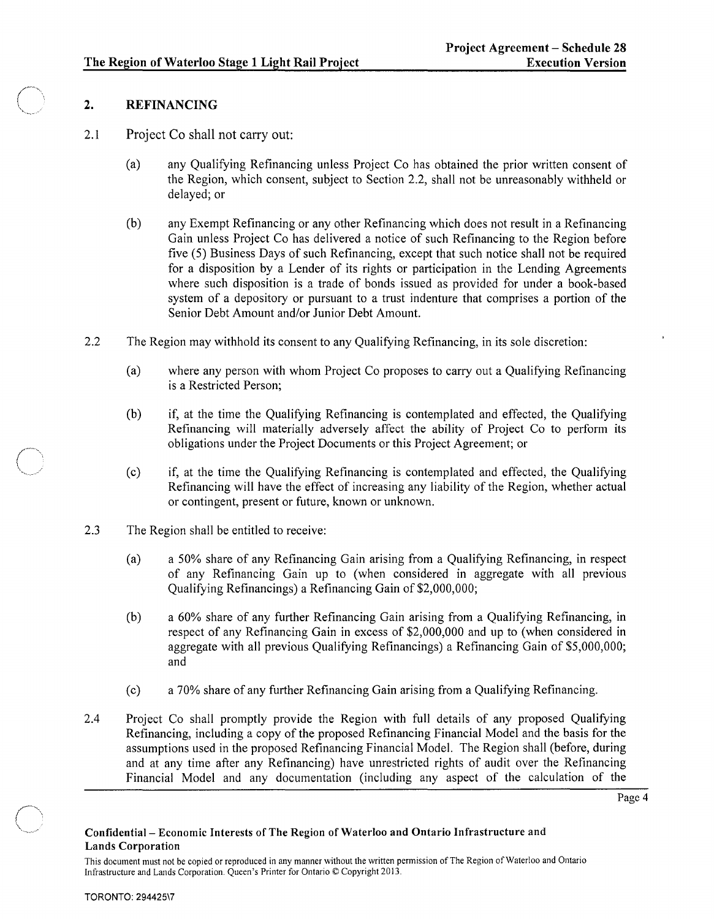# 2. REFINANCING

- 2.1 Project Co shall not carry out:
	- (a) any Qualifying Refinancing unless Project Co has obtained the prior written consent of the Region, which consent, subject to Section 2.2, shall not be unreasonably withheld or delayed; or
	- (b) any Exempt Refinancing or any other Refinancing which does not result in a Refinancing Gain unless Project Co has delivered a notice of such Refinancing to the Region before five (5) Business Days of such Refinancing, except that such notice shall not be required for a disposition by a Lender of its rights or participation in the Lending Agreements where such disposition is a trade of bonds issued as provided for under a book-based system of a depository or pursuant to a trust indenture that comprises a portion of the Senior Debt Amount and/or Junior Debt Amount.
- 2.2 The Region may withhold its consent to any Qualifying Refinancing, in its sole discretion:
	- (a) where any person with whom Project Co proposes to carry out a Qualifying Refinancing is a Restricted Person;
	- (b) if, at the time the Qualifying Refinancing is contemplated and effected, the Qualifying Refinancing will materially adversely affect the ability of Project Co to perform its obligations under the Project Documents or this Project Agreement; or
	- (c) if, at the time the Qualifying Refinancing is contemplated and effected, the Qualifying Refinancing will have the effect of increasing any liability of the Region, whether actual or contingent, present or future, known or unknown.
- 2.3 The Region shall be entitled to receive:
	- (a) a 50% share of any Refinancing Gain arising from a Qualifying Refinancing, in respect of any Refinancing Gain up to (when considered in aggregate with alI previous Qualifying Refinancings) a Refinancing Gain of \$2,000,000;
	- (b) a 60% share of any further Refinancing Gain arising from a Qualifying Refinancing, in respect of any Refinancing Gain in excess of \$2,000,000 and up to (when considered in aggregate with all previous Qualifying Refinancings) a Refinancing Gain of \$5,000,000; and
	- ( c) a 70% share of any further Refinancing Gain arising from a Qualifying Refinancing.
- 2.4 Project Co shall promptly provide the Region with fulI details of any proposed Qualifying Refinancing, including a copy of the proposed Refinancing Financial Model and the basis for the assumptions used in the proposed Refinancing Financial Model. The Region shall (before, during and at any time after any Refinancing) have unrestricted rights of audit over the Refinancing Financial Model and any documentation (including any aspect of the calculation of the

Page 4

### Confidential- Economic Interests of The Region of Waterloo and Ontario Infrastructure and Lands Corporation

This document must not be copied or reproduced in any manner without the written permission of The Region of Waterloo and Ontario Infrastructure and Lands Corporation. Queen's Printer for Ontario © Copyright 2013.

 $\bigcap$ 

" ~""'--- "~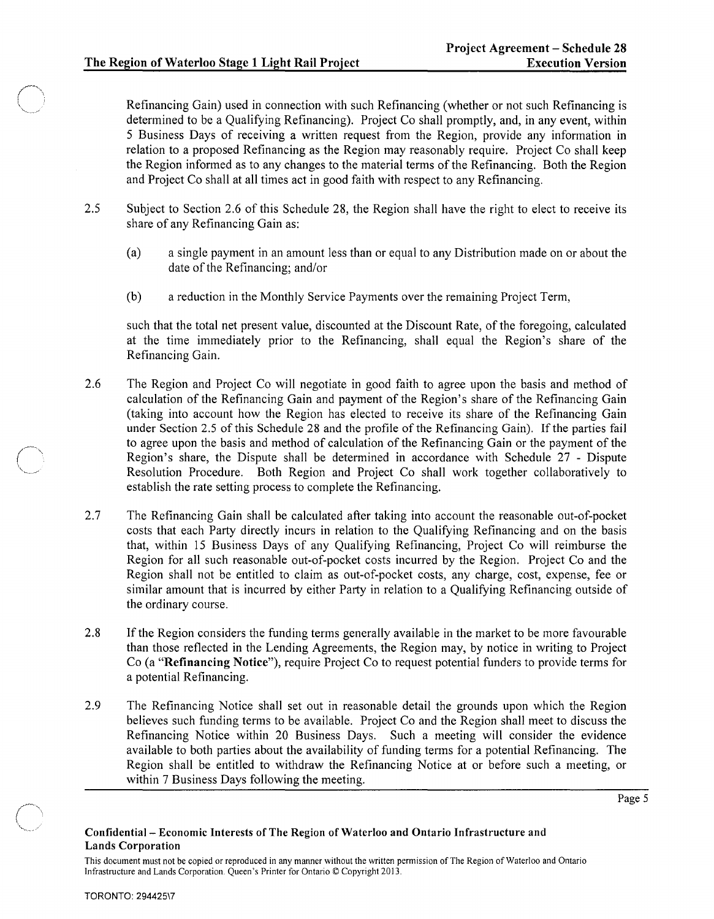Refinancing Gain) used in connection with such Refinancing (whether or not such Refinancing is determined to be a Qualifying Refinancing). Project Co shall promptly, and, in any event, within 5 Business Days of receiving a written request from the Region, provide any information in relation to a proposed Refinancing as the Region may reasonably require. Project Co shall keep the Region informed as to any changes to the material terms of the Refinancing. Both the Region and Project Co shall at all times act in good faith with respect to any Refinancing.

- 2.5 Subject to Section 2.6 of this Schedule 28, the Region shall have the right to elect to receive its share of any Refinancing Gain as:
	- (a) a single payment in an amount less than or equal to any Distribution made on or about the date of the Refinancing; and/or
	- (b) a reduction in the Monthly Service Payments over the remaining Project Term,

such that the total net present value, discounted at the Discount Rate, of the foregoing, calculated at the time immediately prior to the Refinancing, shall equal the Region's share of the Refinancing Gain.

- 2.6 The Region and Project Co will negotiate in good faith to agree upon the basis and method of calculation of the Refinancing Gain and payment of the Region's share of the Refinancing Gain (taking into account how the Region has elected to receive its share of the Refinancing Gain under Section 2.5 of this Schedule 28 and the profile of the Refinancing Gain). If the parties fail to agree upon the basis and method of calculation of the Refinancing Gain or the payment of the Region's share, the Dispute shall be determined in accordance with Schedule 27 - Dispute Resolution Procedure. Both Region and Project Co shall work together collaboratively to establish the rate setting process to complete the Refinancing.
- 2.7 The Refinancing Gain shall be calculated after taking into account the reasonable out-of-pocket costs that each Party directly incurs in relation to the Qualifying Refinancing and on the basis that, within 15 Business Days of any Qualifying Refinancing, Project Co will reimburse the Region for all such reasonable out-of-pocket costs incurred by the Region. Project Co and the Region shall not be entitled to claim as out-of-pocket costs, any charge, cost, expense, fee or similar amount that is incurred by either Party in relation to a Qualifying Refinancing outside of the ordinary course.
- 2.8 If the Region considers the funding terms generally available in the market to be more favourable than those reflected in the Lending Agreements, the Region may, by notice in writing to Project Co (a "Refinancing Notice"), require Project Co to request potential funders to provide terms for a potential Refinancing.
- 2.9 The Refinancing Notice shall set out in reasonable detail the grounds upon which the Region believes such funding terms to be available. Project Co and the Region shall meet to discuss the Refinancing Notice within 20 Business Days. Such a meeting will consider the evidence available to both parties about the availability of funding terms for a potential Refinancing. The Region shall be entitled to withdraw the Refinancing Notice at or before such a meeting, or within 7 Business Days following the meeting.

Page 5

### Confidential- Economic Interests of The Region of Waterloo and Ontario Infrastructure and Lands Corporation

This document must not be copied or reproduced in any manner without the written permission of The Region of Waterloo and Ontario Infrastructure and Lands Corporation. Queen's Printer for Ontario © Copyright 2013.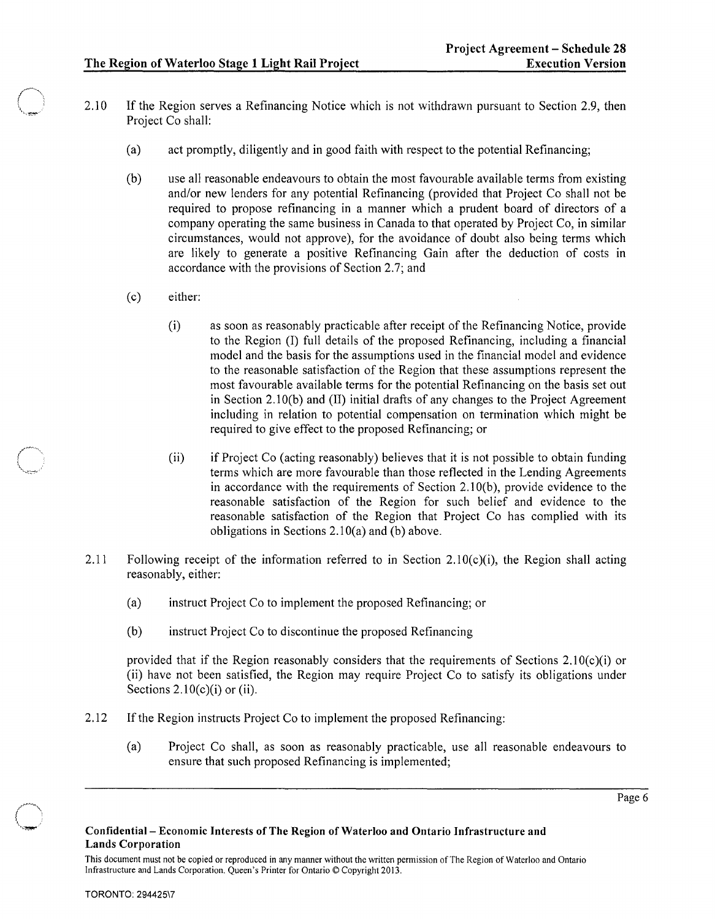- 2.10 If the Region serves a Refinancing Notice which is not withdrawn pursuant to Section 2.9, then Project Co shall:
	- (a) act promptly, diligently and in good faith with respect to the potential Refinancing;
	- (b) use all reasonable endeavours to obtain the most favourable available terms from existing *andlor* new lenders for any potential Refinancing (provided that Project Co shall not be required to propose refinancing in a manner which a prudent board of directors of a company operating the same business in Canada to that operated by Project Co, in similar circumstances, would not approve), for the avoidance of doubt also being terms which are likely to generate a positive Refinancing Gain after the deduction of costs in accordance with the provisions of Section 2.7; and
	- (c) either:

 $\bigcap$  $\lambda$  , where  $\lambda$ 

- (i) as soon as reasonably practicable after receipt of the Refinancing Notice, provide to the Region (I) full details of the proposed Refinancing, including a financial model and the basis for the assumptions used in the financial model and evidence to the reasonable satisfaction of the Region that these assumptions represent the most favourable available terms for the potential Refinancing on the basis set out in Section 2.10(b) and (II) initial drafts of any changes to the Project Agreement including in relation to potential compensation on termination which might be required to give effect to the proposed Refinancing; or
- (ii) if Project Co (acting reasonably) believes that it is not possible to obtain funding terms which are more favourable than those reflected in the Lending Agreements in accordance with the requirements of Section 2.1 O(b), provide evidence to the reasonable satisfaction of the Region for such belief and evidence to the reasonable satisfaction of the Region that Project Co has complied with its obligations in Sections 2.10(a) and (b) above.
- 2.11 Following receipt of the information referred to in Section 2.10(c)(i), the Region shall acting reasonably, either:
	- (a) instruct Project Co to implement the proposed Refinancing; or
	- (b) instruct Project Co to discontinue the proposed Refinancing

provided that if the Region reasonably considers that the requirements of Sections  $2.10(c)(i)$  or (ii) have not been satisfied, the Region may require Project Co to satisfy its obligations under Sections  $2.10(c)(i)$  or (ii).

- 2.12 If the Region instructs Project Co to implement the proposed Refinancing:
	- (a) Project Co shall, as soon as reasonably practicable, use all reasonable endeavours to ensure that such proposed Refinancing is implemented;

#### Confidential- Economic Interests of The Region of Waterloo and Ontario Infrastructure and Lands Corporation

This document must not be copied or reproduced in any manner without the written permission of The Region of Waterloo and Ontario Infrastructure and Lands Corporation. Queen's Printer for Ontario © Copyright 2013.